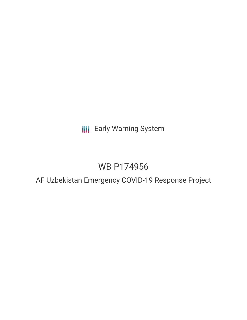**III** Early Warning System

# WB-P174956

AF Uzbekistan Emergency COVID-19 Response Project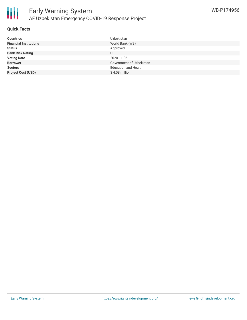

### **Quick Facts**

| <b>Countries</b>              | Uzbekistan                  |
|-------------------------------|-----------------------------|
| <b>Financial Institutions</b> | World Bank (WB)             |
| <b>Status</b>                 | Approved                    |
| <b>Bank Risk Rating</b>       |                             |
| <b>Voting Date</b>            | 2020-11-06                  |
| <b>Borrower</b>               | Government of Uzbekistan    |
| <b>Sectors</b>                | <b>Education and Health</b> |
| <b>Project Cost (USD)</b>     | \$4.08 million              |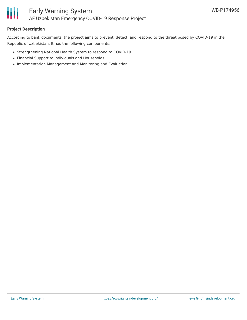

## **Project Description**

According to bank documents, the project aims to prevent, detect, and respond to the threat posed by COVID-19 in the Republic of Uzbekistan. It has the following components:

- Strengthening National Health System to respond to COVID-19
- Financial Support to Individuals and Households
- Implementation Management and Monitoring and Evaluation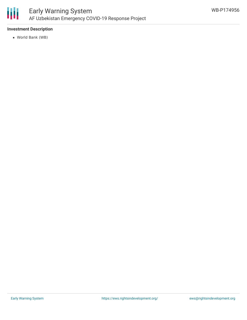

## **Investment Description**

World Bank (WB)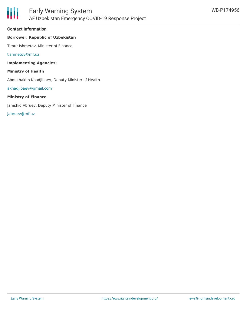#### **Contact Information**

### **Borrower: Republic of Uzbekistan**

Timur Ishmetov, Minister of Finance

[tishmetov@mf.uz](mailto:tishmetov@mf.uz)

**Implementing Agencies:**

**Ministry of Health**

Abdukhakim Khadjibaev, Deputy Minister of Health

[akhadjibaev@gmail.com](mailto:akhadjibaev@gmail.com)

#### **Ministry of Finance**

Jamshid Abruev, Deputy Minister of Finance

[jabruev@mf.uz](mailto:jabruev@mf.uz)